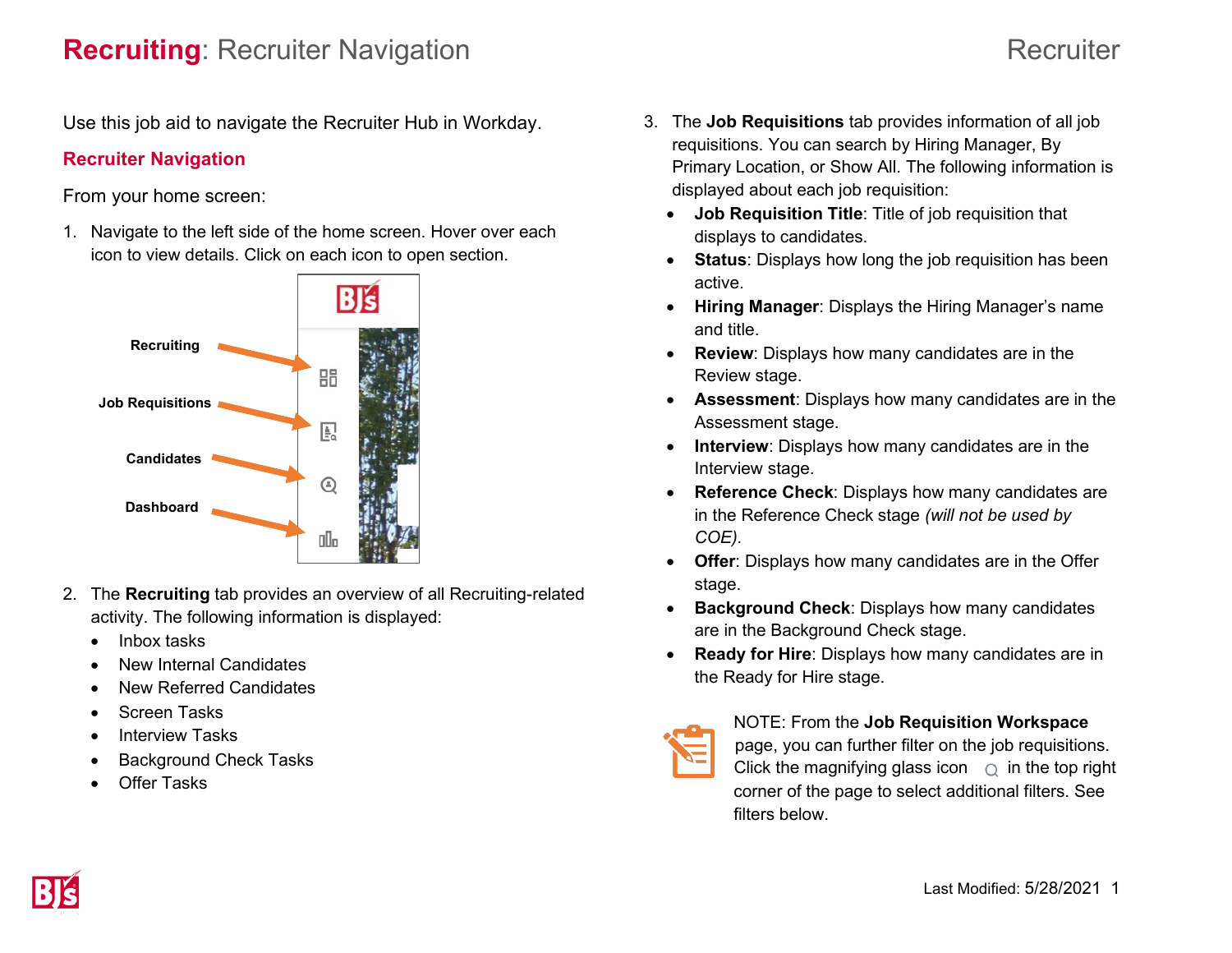# **Recruiting**: Recruiter Navigation **Recruiting**: Recruiter

Use this job aid to navigate the Recruiter Hub in Workday.

## **Recruiter Navigation**

From your home screen:

1. Navigate to the left side of the home screen. Hover over each icon to view details. Click on each icon to open section.



- 2. The **Recruiting** tab provides an overview of all Recruiting-related activity. The following information is displayed:
	- Inbox tasks
	- New Internal Candidates
	- New Referred Candidates
	- Screen Tasks
	- Interview Tasks
	- Background Check Tasks
	- Offer Tasks
- 3. The **Job Requisitions** tab provides information of all job requisitions. You can search by Hiring Manager, By Primary Location, or Show All. The following information is displayed about each job requisition:
	- **Job Requisition Title**: Title of job requisition that displays to candidates.
	- **Status**: Displays how long the job requisition has been active.
	- **Hiring Manager**: Displays the Hiring Manager's name and title.
	- **Review**: Displays how many candidates are in the Review stage.
	- **Assessment**: Displays how many candidates are in the Assessment stage.
	- **Interview**: Displays how many candidates are in the Interview stage.
	- **Reference Check**: Displays how many candidates are in the Reference Check stage *(will not be used by COE).*
	- **Offer**: Displays how many candidates are in the Offer stage.
	- **Background Check**: Displays how many candidates are in the Background Check stage.
	- **Ready for Hire**: Displays how many candidates are in the Ready for Hire stage.



### NOTE: From the **Job Requisition Workspace**

page, you can further filter on the job requisitions. Click the magnifying glass icon  $\alpha$  in the top right corner of the page to select additional filters. See filters below.